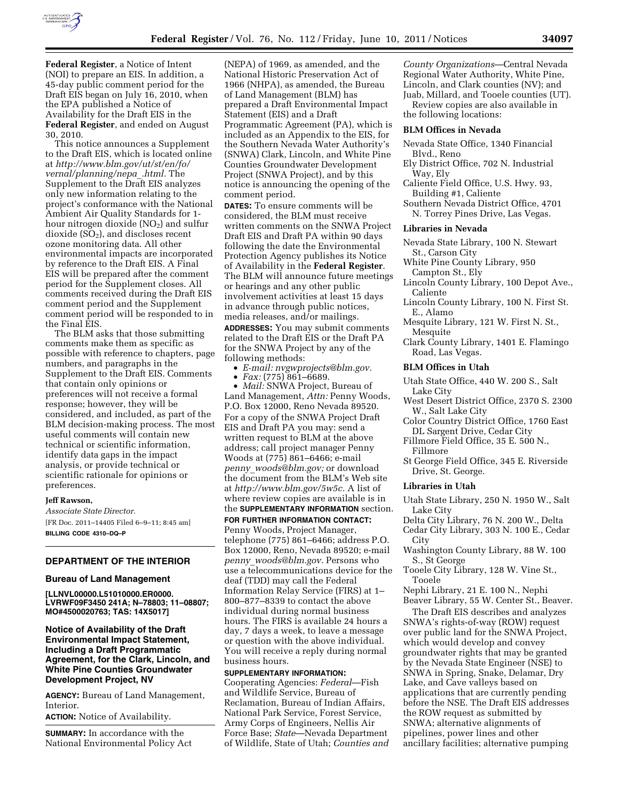

**Federal Register**, a Notice of Intent (NOI) to prepare an EIS. In addition, a 45-day public comment period for the Draft EIS began on July 16, 2010, when the EPA published a Notice of Availability for the Draft EIS in the **Federal Register**, and ended on August 30, 2010.

This notice announces a Supplement to the Draft EIS, which is located online at *[http://www.blm.gov/ut/st/en/fo/](http://www.blm.gov/ut/st/en/fo/vernal/planning/nepa_.html)  [vernal/planning/nepa](http://www.blm.gov/ut/st/en/fo/vernal/planning/nepa_.html)*\_*.html.* The Supplement to the Draft EIS analyzes only new information relating to the project's conformance with the National Ambient Air Quality Standards for 1 hour nitrogen dioxide  $NO<sub>2</sub>$ ) and sulfur dioxide (SO2), and discloses recent ozone monitoring data. All other environmental impacts are incorporated by reference to the Draft EIS. A Final EIS will be prepared after the comment period for the Supplement closes. All comments received during the Draft EIS comment period and the Supplement comment period will be responded to in the Final EIS.

The BLM asks that those submitting comments make them as specific as possible with reference to chapters, page numbers, and paragraphs in the Supplement to the Draft EIS. Comments that contain only opinions or preferences will not receive a formal response; however, they will be considered, and included, as part of the BLM decision-making process. The most useful comments will contain new technical or scientific information, identify data gaps in the impact analysis, or provide technical or scientific rationale for opinions or preferences.

#### **Jeff Rawson,**

*Associate State Director.*  [FR Doc. 2011–14405 Filed 6–9–11; 8:45 am] **BILLING CODE 4310–DQ–P** 

# **DEPARTMENT OF THE INTERIOR**

#### **Bureau of Land Management**

**[LLNVL00000.L51010000.ER0000. LVRWF09F3450 241A; N–78803; 11–08807; MO#4500020763; TAS: 14X5017]** 

# **Notice of Availability of the Draft Environmental Impact Statement, Including a Draft Programmatic Agreement, for the Clark, Lincoln, and White Pine Counties Groundwater Development Project, NV**

**AGENCY:** Bureau of Land Management, Interior.

**ACTION:** Notice of Availability.

**SUMMARY:** In accordance with the National Environmental Policy Act (NEPA) of 1969, as amended, and the National Historic Preservation Act of 1966 (NHPA), as amended, the Bureau of Land Management (BLM) has prepared a Draft Environmental Impact Statement (EIS) and a Draft Programmatic Agreement (PA), which is included as an Appendix to the EIS, for the Southern Nevada Water Authority's (SNWA) Clark, Lincoln, and White Pine Counties Groundwater Development Project (SNWA Project), and by this notice is announcing the opening of the comment period.

**DATES:** To ensure comments will be considered, the BLM must receive written comments on the SNWA Project Draft EIS and Draft PA within 90 days following the date the Environmental Protection Agency publishes its Notice of Availability in the **Federal Register**. The BLM will announce future meetings or hearings and any other public involvement activities at least 15 days in advance through public notices, media releases, and/or mailings.

**ADDRESSES:** You may submit comments related to the Draft EIS or the Draft PA for the SNWA Project by any of the following methods:

- *E-mail: [nvgwprojects@blm.gov.](mailto:nvgwprojects@blm.gov)*
- *Fax:* (775) 861–6689.

• *Mail:* SNWA Project, Bureau of Land Management, *Attn:* Penny Woods, P.O. Box 12000, Reno Nevada 89520. For a copy of the SNWA Project Draft EIS and Draft PA you may: send a written request to BLM at the above address; call project manager Penny Woods at (775) 861–6466; e-mail *penny*\_*[woods@blm.gov;](mailto:penny_woods@blm.gov)* or download the document from the BLM's Web site at *[http://www.blm.gov/5w5c.](http://www.blm.gov/5w5c)* A list of where review copies are available is in the **SUPPLEMENTARY INFORMATION** section.

**FOR FURTHER INFORMATION CONTACT:**  Penny Woods, Project Manager, telephone (775) 861–6466; address P.O. Box 12000, Reno, Nevada 89520; e-mail *penny*\_*[woods@blm.gov.](mailto:penny_woods@blm.gov)* Persons who use a telecommunications device for the deaf (TDD) may call the Federal Information Relay Service (FIRS) at 1– 800–877–8339 to contact the above individual during normal business hours. The FIRS is available 24 hours a day, 7 days a week, to leave a message or question with the above individual. You will receive a reply during normal business hours.

## **SUPPLEMENTARY INFORMATION:**

Cooperating Agencies: *Federal*—Fish and Wildlife Service, Bureau of Reclamation, Bureau of Indian Affairs, National Park Service, Forest Service, Army Corps of Engineers, Nellis Air Force Base; *State*—Nevada Department of Wildlife, State of Utah; *Counties and*  *County Organizations*—Central Nevada Regional Water Authority, White Pine, Lincoln, and Clark counties (NV); and Juab, Millard, and Tooele counties (UT).

Review copies are also available in the following locations:

#### **BLM Offices in Nevada**

- Nevada State Office, 1340 Financial Blvd., Reno
- Ely District Office, 702 N. Industrial Way, Ely
- Caliente Field Office, U.S. Hwy. 93, Building #1, Caliente
- Southern Nevada District Office, 4701 N. Torrey Pines Drive, Las Vegas.

## **Libraries in Nevada**

- Nevada State Library, 100 N. Stewart St., Carson City
- White Pine County Library, 950 Campton St., Ely
- Lincoln County Library, 100 Depot Ave., Caliente
- Lincoln County Library, 100 N. First St. E., Alamo
- Mesquite Library, 121 W. First N. St., Mesquite
- Clark County Library, 1401 E. Flamingo Road, Las Vegas.

## **BLM Offices in Utah**

- Utah State Office, 440 W. 200 S., Salt Lake City
- West Desert District Office, 2370 S. 2300 W., Salt Lake City
- Color Country District Office, 1760 East DL Sargent Drive, Cedar City
- Fillmore Field Office, 35 E. 500 N., Fillmore
- St George Field Office, 345 E. Riverside Drive, St. George.

### **Libraries in Utah**

- Utah State Library, 250 N. 1950 W., Salt Lake City
- Delta City Library, 76 N. 200 W., Delta Cedar City Library, 303 N. 100 E., Cedar

**City** 

Washington County Library, 88 W. 100 S., St George

Tooele City Library, 128 W. Vine St., Tooele

Nephi Library, 21 E. 100 N., Nephi

Beaver Library, 55 W. Center St., Beaver.

The Draft EIS describes and analyzes SNWA's rights-of-way (ROW) request over public land for the SNWA Project, which would develop and convey groundwater rights that may be granted by the Nevada State Engineer (NSE) to SNWA in Spring, Snake, Delamar, Dry Lake, and Cave valleys based on applications that are currently pending before the NSE. The Draft EIS addresses the ROW request as submitted by SNWA; alternative alignments of pipelines, power lines and other ancillary facilities; alternative pumping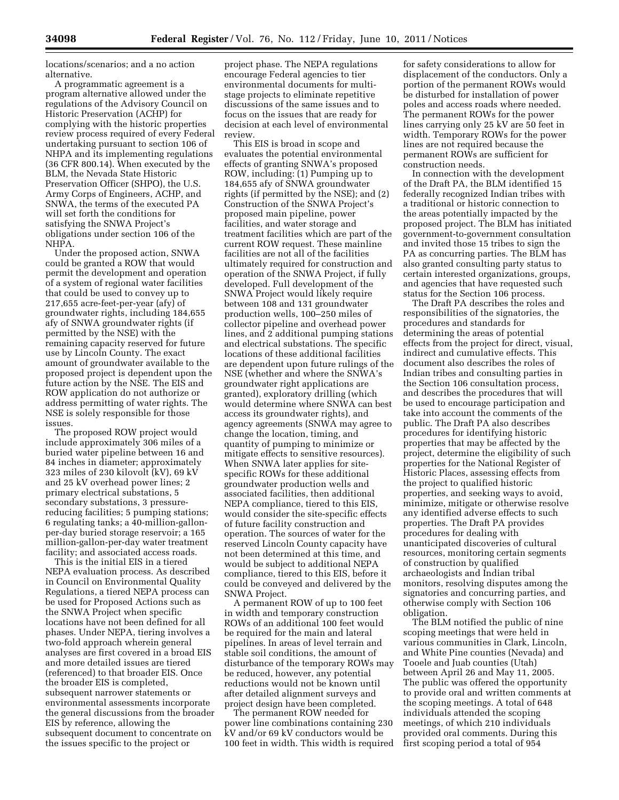locations/scenarios; and a no action alternative.

A programmatic agreement is a program alternative allowed under the regulations of the Advisory Council on Historic Preservation (ACHP) for complying with the historic properties review process required of every Federal undertaking pursuant to section 106 of NHPA and its implementing regulations (36 CFR 800.14). When executed by the BLM, the Nevada State Historic Preservation Officer (SHPO), the U.S. Army Corps of Engineers, ACHP, and SNWA, the terms of the executed PA will set forth the conditions for satisfying the SNWA Project's obligations under section 106 of the NHPA.

Under the proposed action, SNWA could be granted a ROW that would permit the development and operation of a system of regional water facilities that could be used to convey up to 217,655 acre-feet-per-year (afy) of groundwater rights, including 184,655 afy of SNWA groundwater rights (if permitted by the NSE) with the remaining capacity reserved for future use by Lincoln County. The exact amount of groundwater available to the proposed project is dependent upon the future action by the NSE. The EIS and ROW application do not authorize or address permitting of water rights. The NSE is solely responsible for those issues.

The proposed ROW project would include approximately 306 miles of a buried water pipeline between 16 and 84 inches in diameter; approximately 323 miles of 230 kilovolt (kV), 69 kV and 25 kV overhead power lines; 2 primary electrical substations, 5 secondary substations, 3 pressurereducing facilities; 5 pumping stations; 6 regulating tanks; a 40-million-gallonper-day buried storage reservoir; a 165 million-gallon-per-day water treatment facility; and associated access roads.

This is the initial EIS in a tiered NEPA evaluation process. As described in Council on Environmental Quality Regulations, a tiered NEPA process can be used for Proposed Actions such as the SNWA Project when specific locations have not been defined for all phases. Under NEPA, tiering involves a two-fold approach wherein general analyses are first covered in a broad EIS and more detailed issues are tiered (referenced) to that broader EIS. Once the broader EIS is completed, subsequent narrower statements or environmental assessments incorporate the general discussions from the broader EIS by reference, allowing the subsequent document to concentrate on the issues specific to the project or

project phase. The NEPA regulations encourage Federal agencies to tier environmental documents for multistage projects to eliminate repetitive discussions of the same issues and to focus on the issues that are ready for decision at each level of environmental review.

This EIS is broad in scope and evaluates the potential environmental effects of granting SNWA's proposed ROW, including: (1) Pumping up to 184,655 afy of SNWA groundwater rights (if permitted by the NSE); and (2) Construction of the SNWA Project's proposed main pipeline, power facilities, and water storage and treatment facilities which are part of the current ROW request. These mainline facilities are not all of the facilities ultimately required for construction and operation of the SNWA Project, if fully developed. Full development of the SNWA Project would likely require between 108 and 131 groundwater production wells, 100–250 miles of collector pipeline and overhead power lines, and 2 additional pumping stations and electrical substations. The specific locations of these additional facilities are dependent upon future rulings of the NSE (whether and where the SNWA's groundwater right applications are granted), exploratory drilling (which would determine where SNWA can best access its groundwater rights), and agency agreements (SNWA may agree to change the location, timing, and quantity of pumping to minimize or mitigate effects to sensitive resources). When SNWA later applies for sitespecific ROWs for these additional groundwater production wells and associated facilities, then additional NEPA compliance, tiered to this EIS, would consider the site-specific effects of future facility construction and operation. The sources of water for the reserved Lincoln County capacity have not been determined at this time, and would be subject to additional NEPA compliance, tiered to this EIS, before it could be conveyed and delivered by the SNWA Project.

A permanent ROW of up to 100 feet in width and temporary construction ROWs of an additional 100 feet would be required for the main and lateral pipelines. In areas of level terrain and stable soil conditions, the amount of disturbance of the temporary ROWs may be reduced, however, any potential reductions would not be known until after detailed alignment surveys and project design have been completed.

The permanent ROW needed for power line combinations containing 230 kV and/or 69 kV conductors would be 100 feet in width. This width is required

for safety considerations to allow for displacement of the conductors. Only a portion of the permanent ROWs would be disturbed for installation of power poles and access roads where needed. The permanent ROWs for the power lines carrying only 25 kV are 50 feet in width. Temporary ROWs for the power lines are not required because the permanent ROWs are sufficient for construction needs.

In connection with the development of the Draft PA, the BLM identified 15 federally recognized Indian tribes with a traditional or historic connection to the areas potentially impacted by the proposed project. The BLM has initiated government-to-government consultation and invited those 15 tribes to sign the PA as concurring parties. The BLM has also granted consulting party status to certain interested organizations, groups, and agencies that have requested such status for the Section 106 process.

The Draft PA describes the roles and responsibilities of the signatories, the procedures and standards for determining the areas of potential effects from the project for direct, visual, indirect and cumulative effects. This document also describes the roles of Indian tribes and consulting parties in the Section 106 consultation process, and describes the procedures that will be used to encourage participation and take into account the comments of the public. The Draft PA also describes procedures for identifying historic properties that may be affected by the project, determine the eligibility of such properties for the National Register of Historic Places, assessing effects from the project to qualified historic properties, and seeking ways to avoid, minimize, mitigate or otherwise resolve any identified adverse effects to such properties. The Draft PA provides procedures for dealing with unanticipated discoveries of cultural resources, monitoring certain segments of construction by qualified archaeologists and Indian tribal monitors, resolving disputes among the signatories and concurring parties, and otherwise comply with Section 106 obligation.

The BLM notified the public of nine scoping meetings that were held in various communities in Clark, Lincoln, and White Pine counties (Nevada) and Tooele and Juab counties (Utah) between April 26 and May 11, 2005. The public was offered the opportunity to provide oral and written comments at the scoping meetings. A total of 648 individuals attended the scoping meetings, of which 210 individuals provided oral comments. During this first scoping period a total of 954